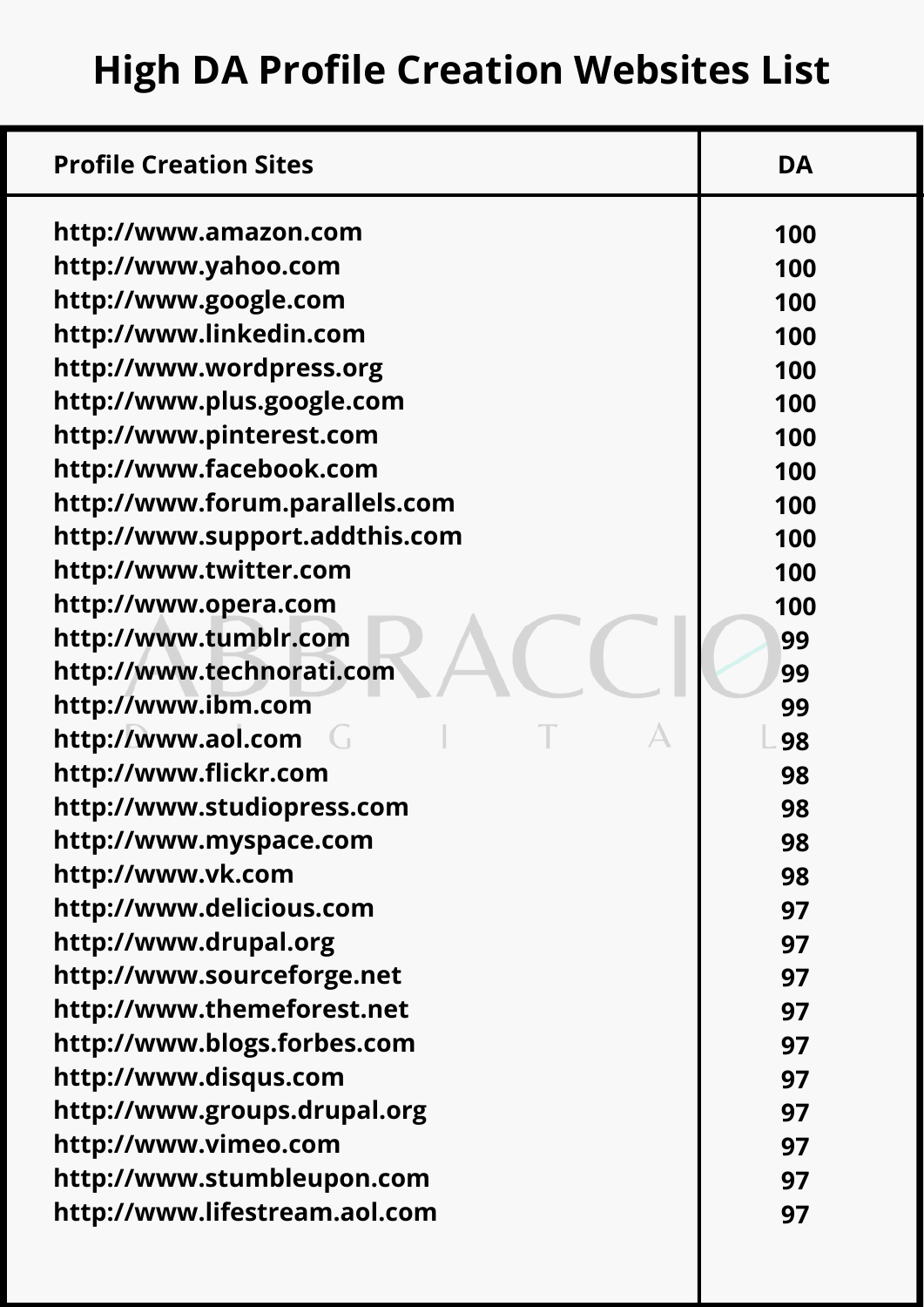| <b>Profile Creation Sites</b>  | <b>DA</b> |
|--------------------------------|-----------|
| http://www.amazon.com          | 100       |
| http://www.yahoo.com           | 100       |
| http://www.google.com          | 100       |
| http://www.linkedin.com        | 100       |
| http://www.wordpress.org       | 100       |
| http://www.plus.google.com     | 100       |
| http://www.pinterest.com       | 100       |
| http://www.facebook.com        | 100       |
| http://www.forum.parallels.com | 100       |
| http://www.support.addthis.com | 100       |
| http://www.twitter.com         | 100       |
| http://www.opera.com           | 100       |
| http://www.tumblr.com          | 99        |
| http://www.technorati.com      | 99        |
| http://www.ibm.com             | 99        |
| http://www.aol.com             | 98        |
| http://www.flickr.com          | 98        |
| http://www.studiopress.com     | 98        |
| http://www.myspace.com         | 98        |
| http://www.vk.com              | 98        |
| http://www.delicious.com       | 97        |
| http://www.drupal.org          | 97        |
| http://www.sourceforge.net     | 97        |
| http://www.themeforest.net     | 97        |
| http://www.blogs.forbes.com    | 97        |
| http://www.disqus.com          | 97        |
| http://www.groups.drupal.org   | 97        |
| http://www.vimeo.com           | 97        |
| http://www.stumbleupon.com     | 97        |
| http://www.lifestream.aol.com  | 97        |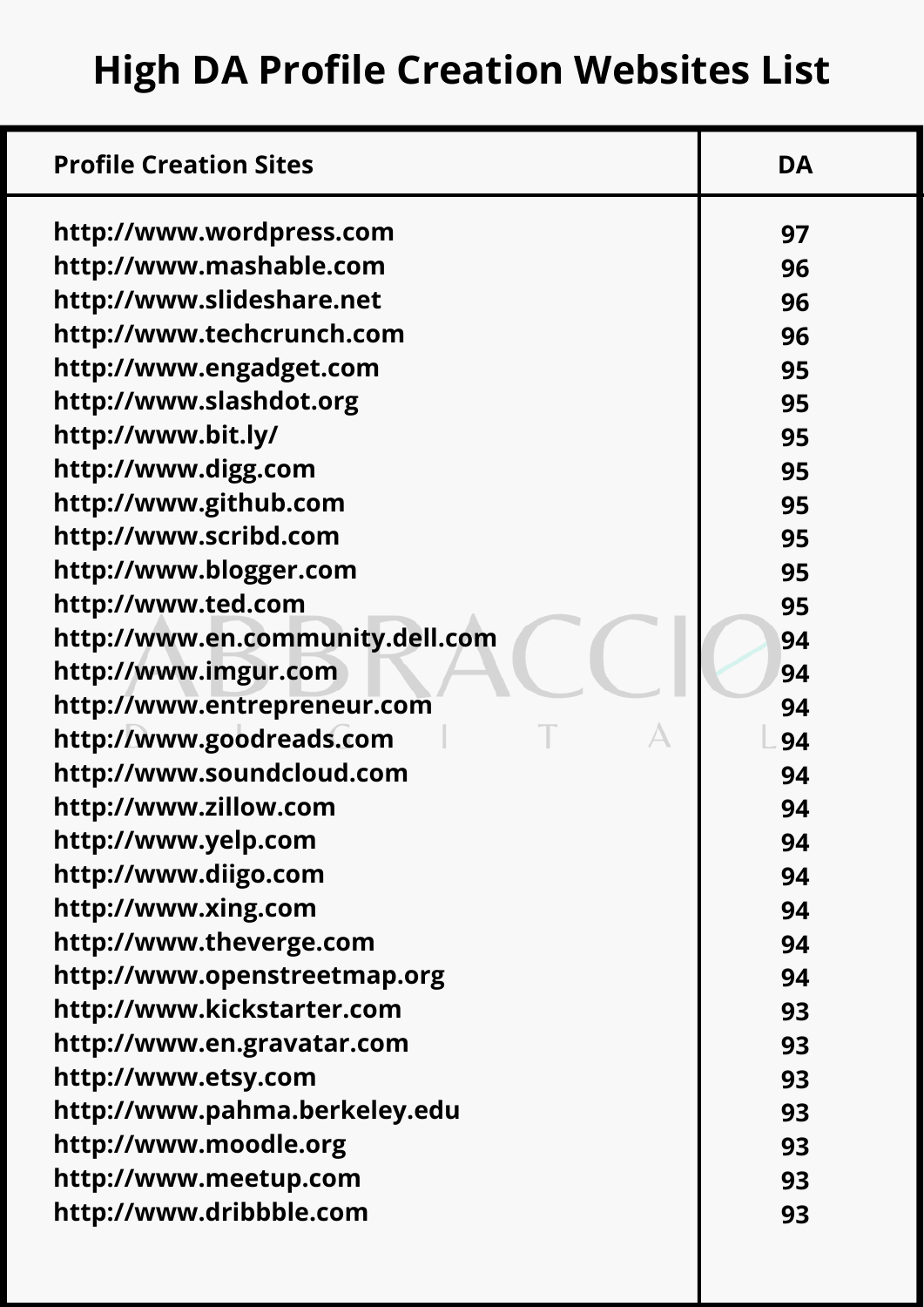**High DA Profile Creation Websites List**

| http://www.wordpress.com<br>97<br>http://www.mashable.com<br>96<br>http://www.slideshare.net<br>96<br>http://www.techcrunch.com<br>96<br>http://www.engadget.com<br>95<br>http://www.slashdot.org<br>95<br>http://www.bit.ly/<br>95<br>http://www.digg.com<br>95<br>http://www.github.com<br>95<br>http://www.scribd.com<br>95<br>http://www.blogger.com<br>95<br>http://www.ted.com<br>95<br>http://www.en.community.dell.com<br>94<br>http://www.imgur.com<br>94<br>http://www.entrepreneur.com<br>94<br>http://www.goodreads.com<br>94<br>http://www.soundcloud.com<br>94<br>http://www.zillow.com<br>94<br>http://www.yelp.com<br>94<br>http://www.diigo.com<br>94<br>http://www.xing.com<br>94<br>http://www.theverge.com<br>94<br>http://www.openstreetmap.org<br>94<br>http://www.kickstarter.com<br>93<br>http://www.en.gravatar.com<br>93<br>http://www.etsy.com<br>93<br>http://www.pahma.berkeley.edu<br>93<br>http://www.moodle.org<br>93<br>http://www.meetup.com<br>93<br>http://www.dribbble.com<br>93 | <b>Profile Creation Sites</b> | <b>DA</b> |
|-----------------------------------------------------------------------------------------------------------------------------------------------------------------------------------------------------------------------------------------------------------------------------------------------------------------------------------------------------------------------------------------------------------------------------------------------------------------------------------------------------------------------------------------------------------------------------------------------------------------------------------------------------------------------------------------------------------------------------------------------------------------------------------------------------------------------------------------------------------------------------------------------------------------------------------------------------------------------------------------------------------------------|-------------------------------|-----------|
|                                                                                                                                                                                                                                                                                                                                                                                                                                                                                                                                                                                                                                                                                                                                                                                                                                                                                                                                                                                                                       |                               |           |
|                                                                                                                                                                                                                                                                                                                                                                                                                                                                                                                                                                                                                                                                                                                                                                                                                                                                                                                                                                                                                       |                               |           |
|                                                                                                                                                                                                                                                                                                                                                                                                                                                                                                                                                                                                                                                                                                                                                                                                                                                                                                                                                                                                                       |                               |           |
|                                                                                                                                                                                                                                                                                                                                                                                                                                                                                                                                                                                                                                                                                                                                                                                                                                                                                                                                                                                                                       |                               |           |
|                                                                                                                                                                                                                                                                                                                                                                                                                                                                                                                                                                                                                                                                                                                                                                                                                                                                                                                                                                                                                       |                               |           |
|                                                                                                                                                                                                                                                                                                                                                                                                                                                                                                                                                                                                                                                                                                                                                                                                                                                                                                                                                                                                                       |                               |           |
|                                                                                                                                                                                                                                                                                                                                                                                                                                                                                                                                                                                                                                                                                                                                                                                                                                                                                                                                                                                                                       |                               |           |
|                                                                                                                                                                                                                                                                                                                                                                                                                                                                                                                                                                                                                                                                                                                                                                                                                                                                                                                                                                                                                       |                               |           |
|                                                                                                                                                                                                                                                                                                                                                                                                                                                                                                                                                                                                                                                                                                                                                                                                                                                                                                                                                                                                                       |                               |           |
|                                                                                                                                                                                                                                                                                                                                                                                                                                                                                                                                                                                                                                                                                                                                                                                                                                                                                                                                                                                                                       |                               |           |
|                                                                                                                                                                                                                                                                                                                                                                                                                                                                                                                                                                                                                                                                                                                                                                                                                                                                                                                                                                                                                       |                               |           |
|                                                                                                                                                                                                                                                                                                                                                                                                                                                                                                                                                                                                                                                                                                                                                                                                                                                                                                                                                                                                                       |                               |           |
|                                                                                                                                                                                                                                                                                                                                                                                                                                                                                                                                                                                                                                                                                                                                                                                                                                                                                                                                                                                                                       |                               |           |
|                                                                                                                                                                                                                                                                                                                                                                                                                                                                                                                                                                                                                                                                                                                                                                                                                                                                                                                                                                                                                       |                               |           |
|                                                                                                                                                                                                                                                                                                                                                                                                                                                                                                                                                                                                                                                                                                                                                                                                                                                                                                                                                                                                                       |                               |           |
|                                                                                                                                                                                                                                                                                                                                                                                                                                                                                                                                                                                                                                                                                                                                                                                                                                                                                                                                                                                                                       |                               |           |
|                                                                                                                                                                                                                                                                                                                                                                                                                                                                                                                                                                                                                                                                                                                                                                                                                                                                                                                                                                                                                       |                               |           |
|                                                                                                                                                                                                                                                                                                                                                                                                                                                                                                                                                                                                                                                                                                                                                                                                                                                                                                                                                                                                                       |                               |           |
|                                                                                                                                                                                                                                                                                                                                                                                                                                                                                                                                                                                                                                                                                                                                                                                                                                                                                                                                                                                                                       |                               |           |
|                                                                                                                                                                                                                                                                                                                                                                                                                                                                                                                                                                                                                                                                                                                                                                                                                                                                                                                                                                                                                       |                               |           |
|                                                                                                                                                                                                                                                                                                                                                                                                                                                                                                                                                                                                                                                                                                                                                                                                                                                                                                                                                                                                                       |                               |           |
|                                                                                                                                                                                                                                                                                                                                                                                                                                                                                                                                                                                                                                                                                                                                                                                                                                                                                                                                                                                                                       |                               |           |
|                                                                                                                                                                                                                                                                                                                                                                                                                                                                                                                                                                                                                                                                                                                                                                                                                                                                                                                                                                                                                       |                               |           |
|                                                                                                                                                                                                                                                                                                                                                                                                                                                                                                                                                                                                                                                                                                                                                                                                                                                                                                                                                                                                                       |                               |           |
|                                                                                                                                                                                                                                                                                                                                                                                                                                                                                                                                                                                                                                                                                                                                                                                                                                                                                                                                                                                                                       |                               |           |
|                                                                                                                                                                                                                                                                                                                                                                                                                                                                                                                                                                                                                                                                                                                                                                                                                                                                                                                                                                                                                       |                               |           |
|                                                                                                                                                                                                                                                                                                                                                                                                                                                                                                                                                                                                                                                                                                                                                                                                                                                                                                                                                                                                                       |                               |           |
|                                                                                                                                                                                                                                                                                                                                                                                                                                                                                                                                                                                                                                                                                                                                                                                                                                                                                                                                                                                                                       |                               |           |
|                                                                                                                                                                                                                                                                                                                                                                                                                                                                                                                                                                                                                                                                                                                                                                                                                                                                                                                                                                                                                       |                               |           |
|                                                                                                                                                                                                                                                                                                                                                                                                                                                                                                                                                                                                                                                                                                                                                                                                                                                                                                                                                                                                                       |                               |           |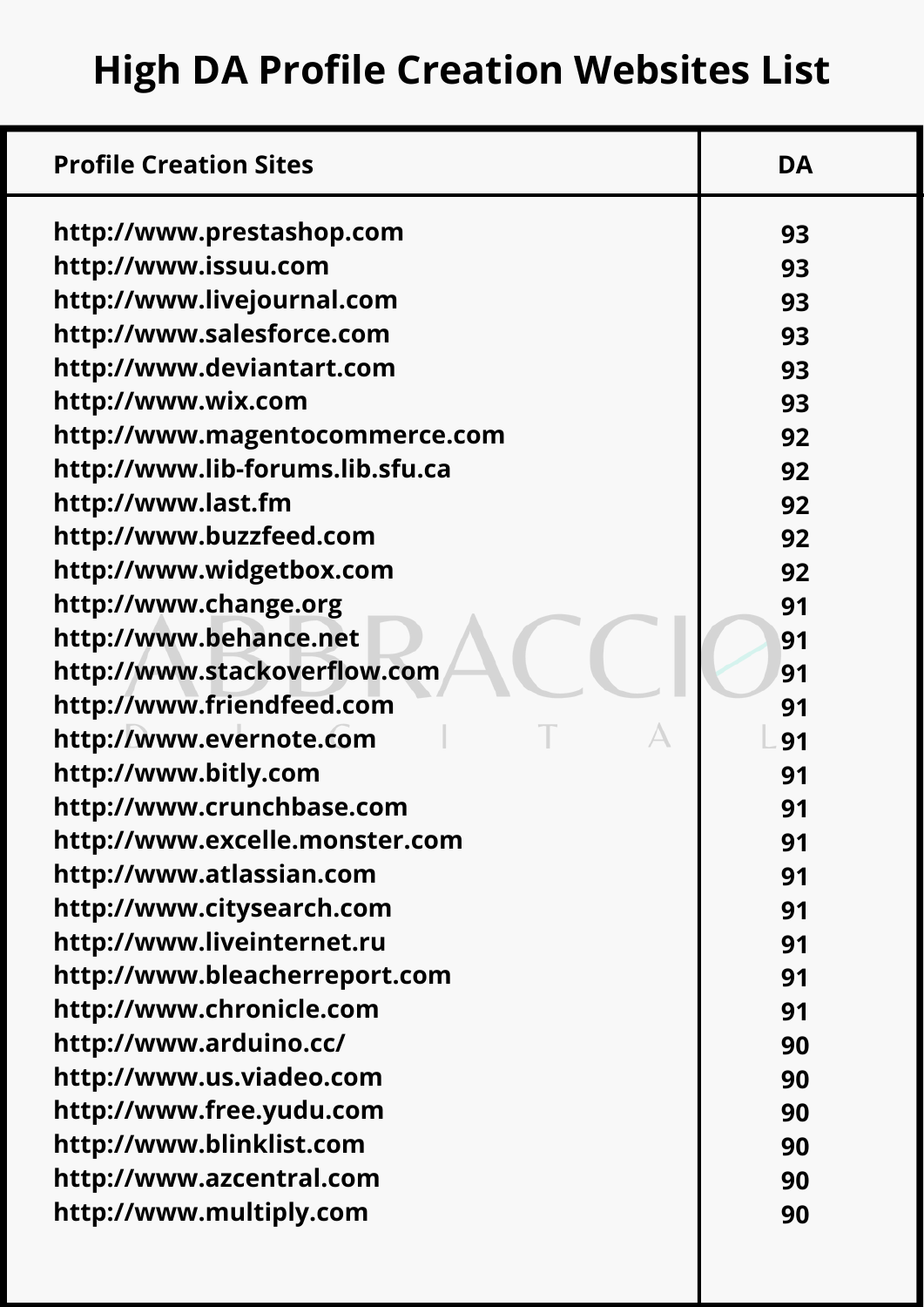| <b>Profile Creation Sites</b>    | <b>DA</b> |
|----------------------------------|-----------|
| http://www.prestashop.com        | 93        |
| http://www.issuu.com             | 93        |
| http://www.livejournal.com       | 93        |
| http://www.salesforce.com        | 93        |
| http://www.deviantart.com        | 93        |
| http://www.wix.com               | 93        |
| http://www.magentocommerce.com   | 92        |
| http://www.lib-forums.lib.sfu.ca | 92        |
| http://www.last.fm               | 92        |
| http://www.buzzfeed.com          | 92        |
| http://www.widgetbox.com         | 92        |
| http://www.change.org            | 91        |
| http://www.behance.net           | 91        |
| http://www.stackoverflow.com     | 91        |
| http://www.friendfeed.com        | 91        |
| http://www.evernote.com          | 91        |
| http://www.bitly.com             | 91        |
| http://www.crunchbase.com        | 91        |
| http://www.excelle.monster.com   | 91        |
| http://www.atlassian.com         | 91        |
| http://www.citysearch.com        | 91        |
| http://www.liveinternet.ru       | 91        |
| http://www.bleacherreport.com    | 91        |
| http://www.chronicle.com         | 91        |
| http://www.arduino.cc/           | 90        |
| http://www.us.viadeo.com         | 90        |
| http://www.free.yudu.com         | 90        |
| http://www.blinklist.com         | 90        |
| http://www.azcentral.com         | 90        |
| http://www.multiply.com          | 90        |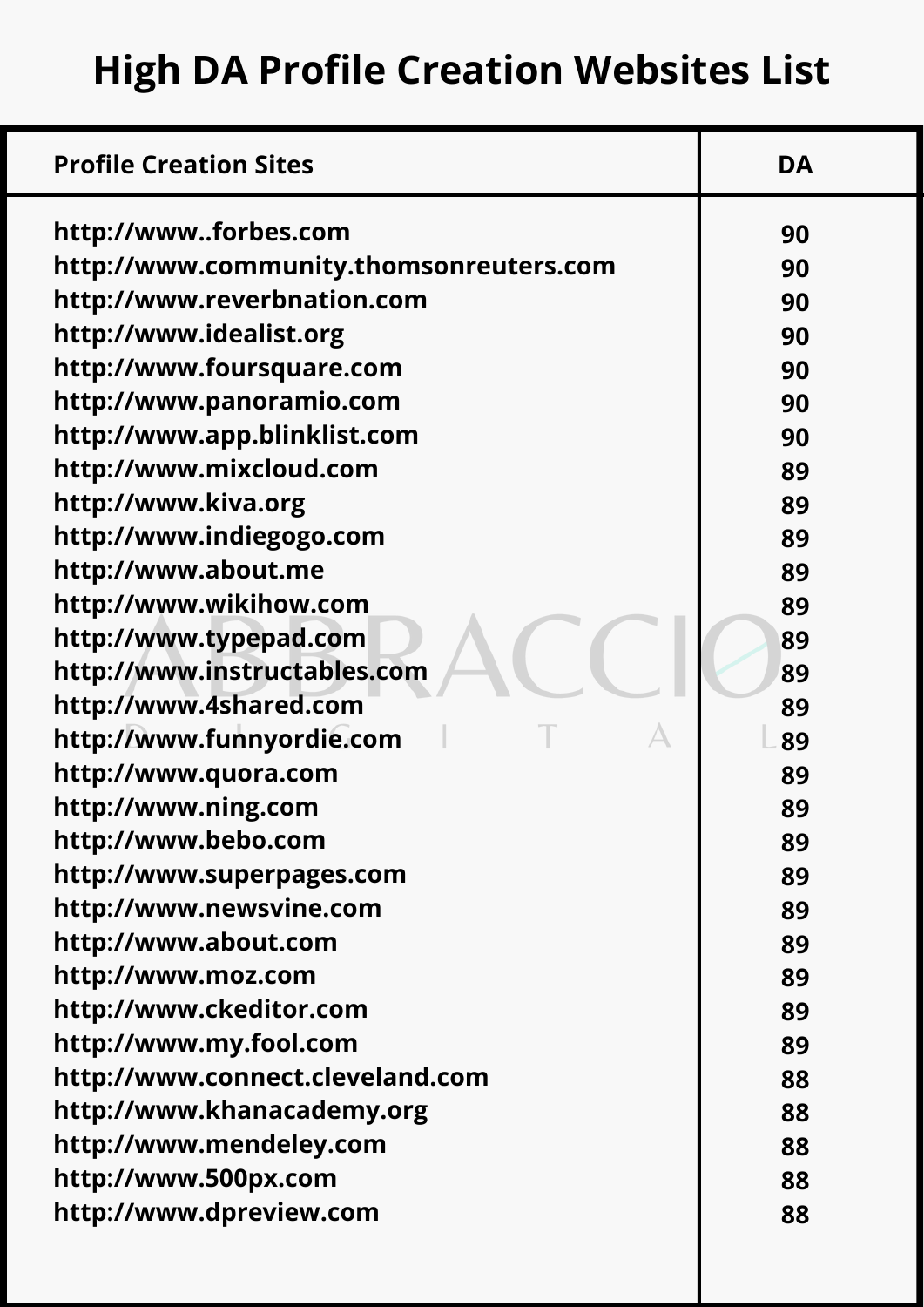| http://wwwforbes.com<br>90<br>http://www.community.thomsonreuters.com<br>90<br>http://www.reverbnation.com<br>90<br>http://www.idealist.org<br>90<br>http://www.foursquare.com<br>90<br>http://www.panoramio.com<br>90<br>http://www.app.blinklist.com<br>90<br>http://www.mixcloud.com<br>89<br>http://www.kiva.org<br>89<br>http://www.indiegogo.com<br>89<br>http://www.about.me<br>89<br>http://www.wikihow.com<br>89<br>http://www.typepad.com<br>89<br>http://www.instructables.com<br>89<br>http://www.4shared.com<br>89<br>http://www.funnyordie.com<br>89<br>http://www.quora.com<br>89<br>http://www.ning.com<br>89<br>http://www.bebo.com<br>89<br>http://www.superpages.com<br>89<br>http://www.newsvine.com<br>89<br>http://www.about.com<br>89<br>http://www.moz.com<br>89<br>http://www.ckeditor.com<br>89<br>http://www.my.fool.com<br>89<br>http://www.connect.cleveland.com<br>88<br>http://www.khanacademy.org<br>88<br>http://www.mendeley.com<br>88<br>http://www.500px.com<br>88<br>http://www.dpreview.com<br>88 | <b>Profile Creation Sites</b> | <b>DA</b> |
|-----------------------------------------------------------------------------------------------------------------------------------------------------------------------------------------------------------------------------------------------------------------------------------------------------------------------------------------------------------------------------------------------------------------------------------------------------------------------------------------------------------------------------------------------------------------------------------------------------------------------------------------------------------------------------------------------------------------------------------------------------------------------------------------------------------------------------------------------------------------------------------------------------------------------------------------------------------------------------------------------------------------------------------------|-------------------------------|-----------|
|                                                                                                                                                                                                                                                                                                                                                                                                                                                                                                                                                                                                                                                                                                                                                                                                                                                                                                                                                                                                                                         |                               |           |
|                                                                                                                                                                                                                                                                                                                                                                                                                                                                                                                                                                                                                                                                                                                                                                                                                                                                                                                                                                                                                                         |                               |           |
|                                                                                                                                                                                                                                                                                                                                                                                                                                                                                                                                                                                                                                                                                                                                                                                                                                                                                                                                                                                                                                         |                               |           |
|                                                                                                                                                                                                                                                                                                                                                                                                                                                                                                                                                                                                                                                                                                                                                                                                                                                                                                                                                                                                                                         |                               |           |
|                                                                                                                                                                                                                                                                                                                                                                                                                                                                                                                                                                                                                                                                                                                                                                                                                                                                                                                                                                                                                                         |                               |           |
|                                                                                                                                                                                                                                                                                                                                                                                                                                                                                                                                                                                                                                                                                                                                                                                                                                                                                                                                                                                                                                         |                               |           |
|                                                                                                                                                                                                                                                                                                                                                                                                                                                                                                                                                                                                                                                                                                                                                                                                                                                                                                                                                                                                                                         |                               |           |
|                                                                                                                                                                                                                                                                                                                                                                                                                                                                                                                                                                                                                                                                                                                                                                                                                                                                                                                                                                                                                                         |                               |           |
|                                                                                                                                                                                                                                                                                                                                                                                                                                                                                                                                                                                                                                                                                                                                                                                                                                                                                                                                                                                                                                         |                               |           |
|                                                                                                                                                                                                                                                                                                                                                                                                                                                                                                                                                                                                                                                                                                                                                                                                                                                                                                                                                                                                                                         |                               |           |
|                                                                                                                                                                                                                                                                                                                                                                                                                                                                                                                                                                                                                                                                                                                                                                                                                                                                                                                                                                                                                                         |                               |           |
|                                                                                                                                                                                                                                                                                                                                                                                                                                                                                                                                                                                                                                                                                                                                                                                                                                                                                                                                                                                                                                         |                               |           |
|                                                                                                                                                                                                                                                                                                                                                                                                                                                                                                                                                                                                                                                                                                                                                                                                                                                                                                                                                                                                                                         |                               |           |
|                                                                                                                                                                                                                                                                                                                                                                                                                                                                                                                                                                                                                                                                                                                                                                                                                                                                                                                                                                                                                                         |                               |           |
|                                                                                                                                                                                                                                                                                                                                                                                                                                                                                                                                                                                                                                                                                                                                                                                                                                                                                                                                                                                                                                         |                               |           |
|                                                                                                                                                                                                                                                                                                                                                                                                                                                                                                                                                                                                                                                                                                                                                                                                                                                                                                                                                                                                                                         |                               |           |
|                                                                                                                                                                                                                                                                                                                                                                                                                                                                                                                                                                                                                                                                                                                                                                                                                                                                                                                                                                                                                                         |                               |           |
|                                                                                                                                                                                                                                                                                                                                                                                                                                                                                                                                                                                                                                                                                                                                                                                                                                                                                                                                                                                                                                         |                               |           |
|                                                                                                                                                                                                                                                                                                                                                                                                                                                                                                                                                                                                                                                                                                                                                                                                                                                                                                                                                                                                                                         |                               |           |
|                                                                                                                                                                                                                                                                                                                                                                                                                                                                                                                                                                                                                                                                                                                                                                                                                                                                                                                                                                                                                                         |                               |           |
|                                                                                                                                                                                                                                                                                                                                                                                                                                                                                                                                                                                                                                                                                                                                                                                                                                                                                                                                                                                                                                         |                               |           |
|                                                                                                                                                                                                                                                                                                                                                                                                                                                                                                                                                                                                                                                                                                                                                                                                                                                                                                                                                                                                                                         |                               |           |
|                                                                                                                                                                                                                                                                                                                                                                                                                                                                                                                                                                                                                                                                                                                                                                                                                                                                                                                                                                                                                                         |                               |           |
|                                                                                                                                                                                                                                                                                                                                                                                                                                                                                                                                                                                                                                                                                                                                                                                                                                                                                                                                                                                                                                         |                               |           |
|                                                                                                                                                                                                                                                                                                                                                                                                                                                                                                                                                                                                                                                                                                                                                                                                                                                                                                                                                                                                                                         |                               |           |
|                                                                                                                                                                                                                                                                                                                                                                                                                                                                                                                                                                                                                                                                                                                                                                                                                                                                                                                                                                                                                                         |                               |           |
|                                                                                                                                                                                                                                                                                                                                                                                                                                                                                                                                                                                                                                                                                                                                                                                                                                                                                                                                                                                                                                         |                               |           |
|                                                                                                                                                                                                                                                                                                                                                                                                                                                                                                                                                                                                                                                                                                                                                                                                                                                                                                                                                                                                                                         |                               |           |
|                                                                                                                                                                                                                                                                                                                                                                                                                                                                                                                                                                                                                                                                                                                                                                                                                                                                                                                                                                                                                                         |                               |           |
|                                                                                                                                                                                                                                                                                                                                                                                                                                                                                                                                                                                                                                                                                                                                                                                                                                                                                                                                                                                                                                         |                               |           |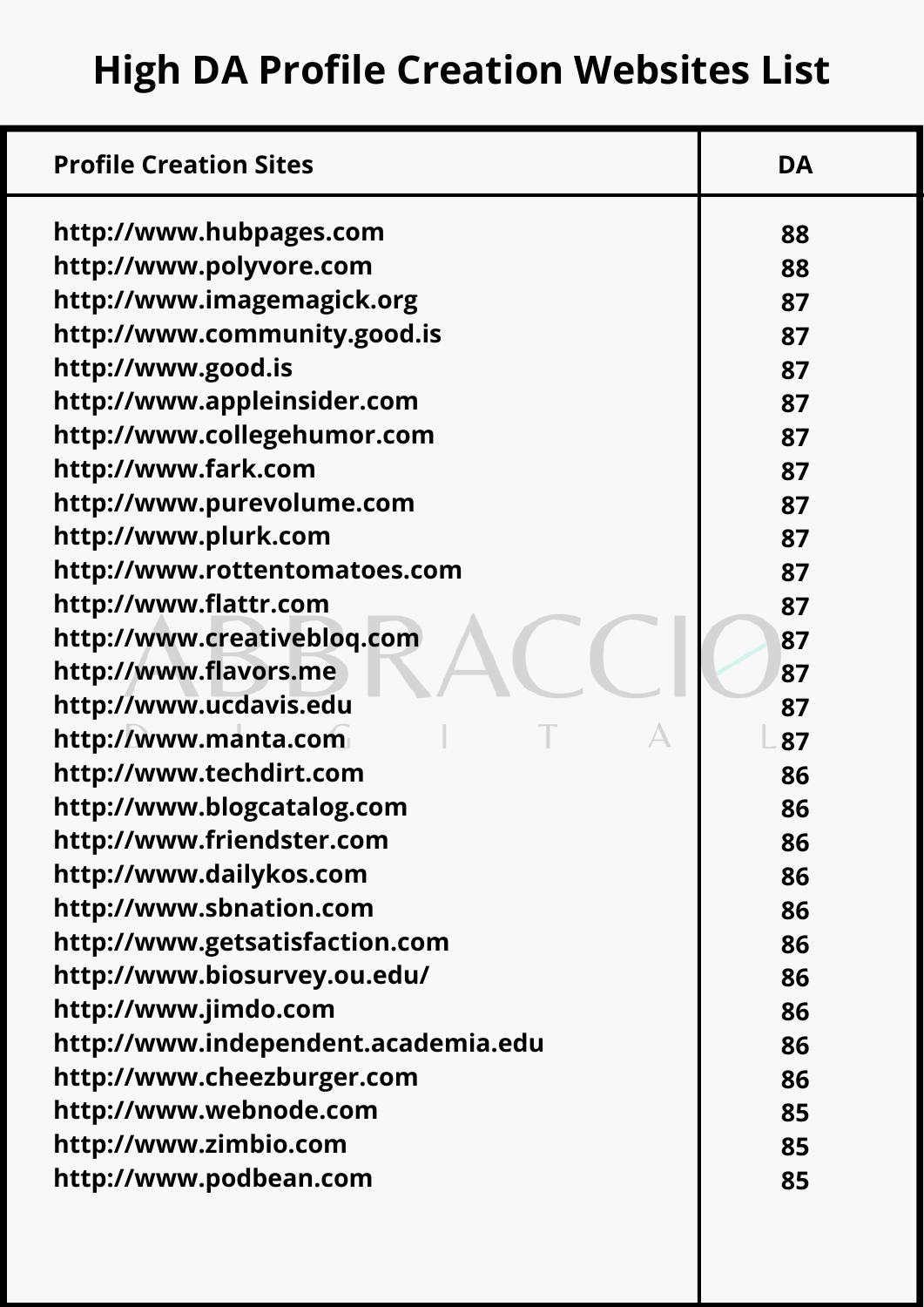| http://www.hubpages.com             | 88 |
|-------------------------------------|----|
| http://www.polyvore.com             | 88 |
| http://www.imagemagick.org          | 87 |
| http://www.community.good.is        | 87 |
| http://www.good.is                  | 87 |
| http://www.appleinsider.com         | 87 |
| http://www.collegehumor.com         | 87 |
| http://www.fark.com                 | 87 |
| http://www.purevolume.com           | 87 |
| http://www.plurk.com                | 87 |
| http://www.rottentomatoes.com       | 87 |
| http://www.flattr.com               | 87 |
| http://www.creativebloq.com         | 87 |
| http://www.flavors.me               | 87 |
| http://www.ucdavis.edu              | 87 |
| http://www.manta.com                | 87 |
| http://www.techdirt.com             | 86 |
| http://www.blogcatalog.com          | 86 |
| http://www.friendster.com           | 86 |
| http://www.dailykos.com             | 86 |
| http://www.sbnation.com             | 86 |
| http://www.getsatisfaction.com      | 86 |
| http://www.biosurvey.ou.edu/        | 86 |
| http://www.jimdo.com                | 86 |
| http://www.independent.academia.edu | 86 |
| http://www.cheezburger.com          | 86 |
| http://www.webnode.com              | 85 |
| http://www.zimbio.com               | 85 |
| http://www.podbean.com              | 85 |